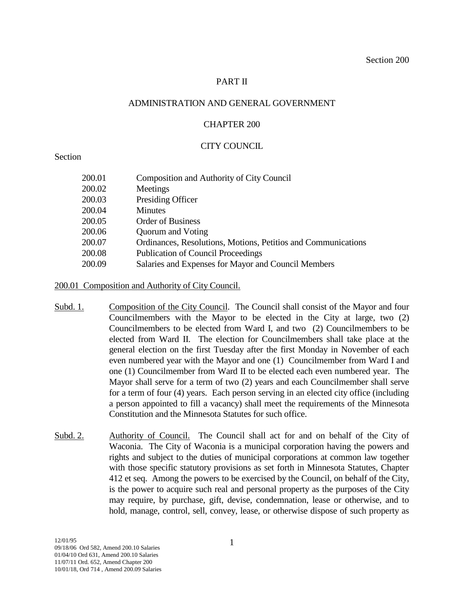# PART II

### ADMINISTRATION AND GENERAL GOVERNMENT

### CHAPTER 200

### CITY COUNCIL

### Section

| 200.01 | Composition and Authority of City Council                     |
|--------|---------------------------------------------------------------|
| 200.02 | Meetings                                                      |
| 200.03 | Presiding Officer                                             |
| 200.04 | <b>Minutes</b>                                                |
| 200.05 | <b>Order of Business</b>                                      |
| 200.06 | Quorum and Voting                                             |
| 200.07 | Ordinances, Resolutions, Motions, Petitios and Communications |
| 200.08 | <b>Publication of Council Proceedings</b>                     |
| 200.09 | Salaries and Expenses for Mayor and Council Members           |
|        |                                                               |

200.01 Composition and Authority of City Council.

- Subd. 1. Composition of the City Council. The Council shall consist of the Mayor and four Councilmembers with the Mayor to be elected in the City at large, two (2) Councilmembers to be elected from Ward I, and two (2) Councilmembers to be elected from Ward II. The election for Councilmembers shall take place at the general election on the first Tuesday after the first Monday in November of each even numbered year with the Mayor and one (1) Councilmember from Ward I and one (1) Councilmember from Ward II to be elected each even numbered year. The Mayor shall serve for a term of two (2) years and each Councilmember shall serve for a term of four (4) years. Each person serving in an elected city office (including a person appointed to fill a vacancy) shall meet the requirements of the Minnesota Constitution and the Minnesota Statutes for such office.
- Subd. 2. Authority of Council. The Council shall act for and on behalf of the City of Waconia. The City of Waconia is a municipal corporation having the powers and rights and subject to the duties of municipal corporations at common law together with those specific statutory provisions as set forth in Minnesota Statutes, Chapter 412 et seq. Among the powers to be exercised by the Council, on behalf of the City, is the power to acquire such real and personal property as the purposes of the City may require, by purchase, gift, devise, condemnation, lease or otherwise, and to hold, manage, control, sell, convey, lease, or otherwise dispose of such property as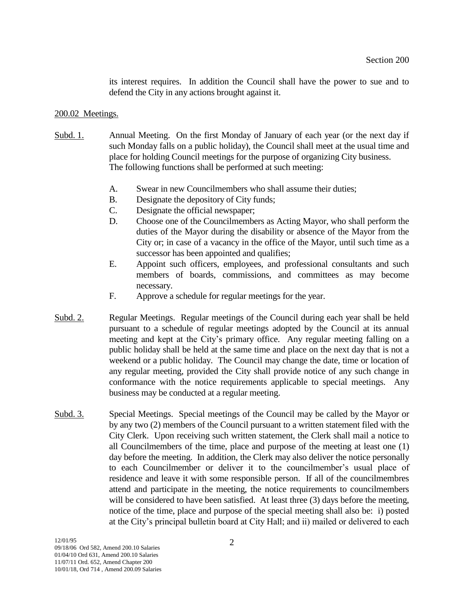its interest requires. In addition the Council shall have the power to sue and to defend the City in any actions brought against it.

#### 200.02 Meetings.

- Subd. 1. Annual Meeting. On the first Monday of January of each year (or the next day if such Monday falls on a public holiday), the Council shall meet at the usual time and place for holding Council meetings for the purpose of organizing City business. The following functions shall be performed at such meeting:
	- A. Swear in new Councilmembers who shall assume their duties;
	- B. Designate the depository of City funds;
	- C. Designate the official newspaper;
	- D. Choose one of the Councilmembers as Acting Mayor, who shall perform the duties of the Mayor during the disability or absence of the Mayor from the City or; in case of a vacancy in the office of the Mayor, until such time as a successor has been appointed and qualifies;
	- E. Appoint such officers, employees, and professional consultants and such members of boards, commissions, and committees as may become necessary.
	- F. Approve a schedule for regular meetings for the year.
- Subd. 2. Regular Meetings. Regular meetings of the Council during each year shall be held pursuant to a schedule of regular meetings adopted by the Council at its annual meeting and kept at the City's primary office. Any regular meeting falling on a public holiday shall be held at the same time and place on the next day that is not a weekend or a public holiday. The Council may change the date, time or location of any regular meeting, provided the City shall provide notice of any such change in conformance with the notice requirements applicable to special meetings. Any business may be conducted at a regular meeting.
- Subd. 3. Special Meetings. Special meetings of the Council may be called by the Mayor or by any two (2) members of the Council pursuant to a written statement filed with the City Clerk. Upon receiving such written statement, the Clerk shall mail a notice to all Councilmembers of the time, place and purpose of the meeting at least one (1) day before the meeting. In addition, the Clerk may also deliver the notice personally to each Councilmember or deliver it to the councilmember's usual place of residence and leave it with some responsible person. If all of the councilmembres attend and participate in the meeting, the notice requirements to councilmembers will be considered to have been satisfied. At least three (3) days before the meeting, notice of the time, place and purpose of the special meeting shall also be: i) posted at the City's principal bulletin board at City Hall; and ii) mailed or delivered to each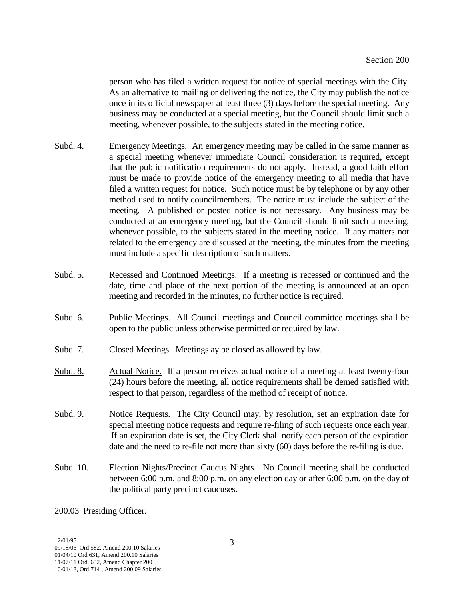person who has filed a written request for notice of special meetings with the City. As an alternative to mailing or delivering the notice, the City may publish the notice once in its official newspaper at least three (3) days before the special meeting. Any business may be conducted at a special meeting, but the Council should limit such a meeting, whenever possible, to the subjects stated in the meeting notice.

- Subd. 4. Emergency Meetings. An emergency meeting may be called in the same manner as a special meeting whenever immediate Council consideration is required, except that the public notification requirements do not apply. Instead, a good faith effort must be made to provide notice of the emergency meeting to all media that have filed a written request for notice. Such notice must be by telephone or by any other method used to notify councilmembers. The notice must include the subject of the meeting. A published or posted notice is not necessary. Any business may be conducted at an emergency meeting, but the Council should limit such a meeting, whenever possible, to the subjects stated in the meeting notice. If any matters not related to the emergency are discussed at the meeting, the minutes from the meeting must include a specific description of such matters.
- Subd. 5. Recessed and Continued Meetings. If a meeting is recessed or continued and the date, time and place of the next portion of the meeting is announced at an open meeting and recorded in the minutes, no further notice is required.
- Subd. 6. Public Meetings. All Council meetings and Council committee meetings shall be open to the public unless otherwise permitted or required by law.
- Subd. 7. Closed Meetings. Meetings ay be closed as allowed by law.
- Subd. 8. Actual Notice. If a person receives actual notice of a meeting at least twenty-four (24) hours before the meeting, all notice requirements shall be demed satisfied with respect to that person, regardless of the method of receipt of notice.
- Subd. 9. Notice Requests. The City Council may, by resolution, set an expiration date for special meeting notice requests and require re-filing of such requests once each year. If an expiration date is set, the City Clerk shall notify each person of the expiration date and the need to re-file not more than sixty (60) days before the re-filing is due.
- Subd. 10. Election Nights/Precinct Caucus Nights. No Council meeting shall be conducted between 6:00 p.m. and 8:00 p.m. on any election day or after 6:00 p.m. on the day of the political party precinct caucuses.

### 200.03 Presiding Officer.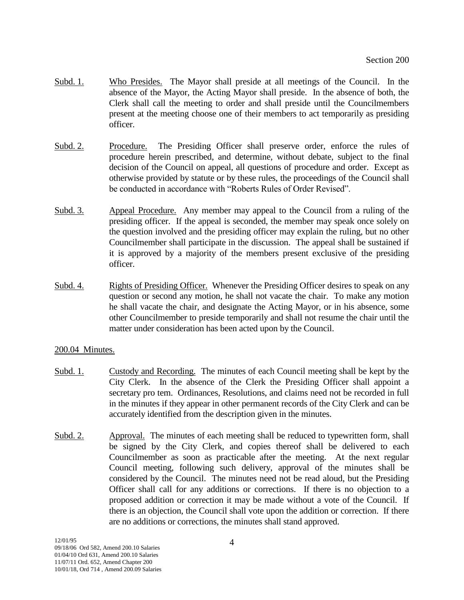- Subd. 1. Who Presides. The Mayor shall preside at all meetings of the Council. In the absence of the Mayor, the Acting Mayor shall preside. In the absence of both, the Clerk shall call the meeting to order and shall preside until the Councilmembers present at the meeting choose one of their members to act temporarily as presiding officer.
- Subd. 2. Procedure. The Presiding Officer shall preserve order, enforce the rules of procedure herein prescribed, and determine, without debate, subject to the final decision of the Council on appeal, all questions of procedure and order. Except as otherwise provided by statute or by these rules, the proceedings of the Council shall be conducted in accordance with "Roberts Rules of Order Revised".
- Subd. 3. Appeal Procedure. Any member may appeal to the Council from a ruling of the presiding officer. If the appeal is seconded, the member may speak once solely on the question involved and the presiding officer may explain the ruling, but no other Councilmember shall participate in the discussion. The appeal shall be sustained if it is approved by a majority of the members present exclusive of the presiding officer.
- Subd. 4. Rights of Presiding Officer. Whenever the Presiding Officer desires to speak on any question or second any motion, he shall not vacate the chair. To make any motion he shall vacate the chair, and designate the Acting Mayor, or in his absence, some other Councilmember to preside temporarily and shall not resume the chair until the matter under consideration has been acted upon by the Council.

# 200.04 Minutes.

- Subd. 1. Custody and Recording. The minutes of each Council meeting shall be kept by the City Clerk. In the absence of the Clerk the Presiding Officer shall appoint a secretary pro tem. Ordinances, Resolutions, and claims need not be recorded in full in the minutes if they appear in other permanent records of the City Clerk and can be accurately identified from the description given in the minutes.
- Subd. 2. Approval. The minutes of each meeting shall be reduced to typewritten form, shall be signed by the City Clerk, and copies thereof shall be delivered to each Councilmember as soon as practicable after the meeting. At the next regular Council meeting, following such delivery, approval of the minutes shall be considered by the Council. The minutes need not be read aloud, but the Presiding Officer shall call for any additions or corrections. If there is no objection to a proposed addition or correction it may be made without a vote of the Council. If there is an objection, the Council shall vote upon the addition or correction. If there are no additions or corrections, the minutes shall stand approved.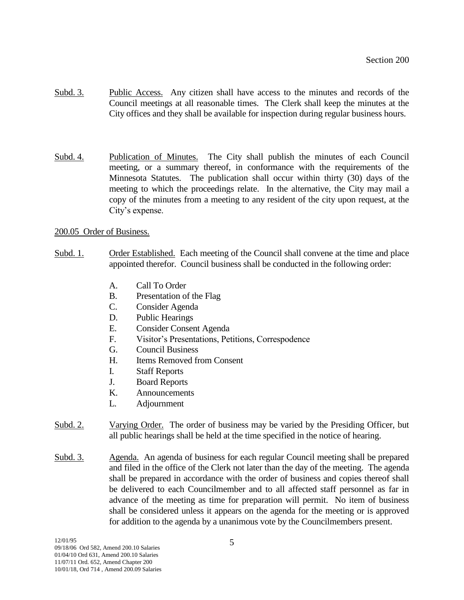- Subd. 3. Public Access. Any citizen shall have access to the minutes and records of the Council meetings at all reasonable times. The Clerk shall keep the minutes at the City offices and they shall be available for inspection during regular business hours.
- Subd. 4. Publication of Minutes. The City shall publish the minutes of each Council meeting, or a summary thereof, in conformance with the requirements of the Minnesota Statutes. The publication shall occur within thirty (30) days of the meeting to which the proceedings relate. In the alternative, the City may mail a copy of the minutes from a meeting to any resident of the city upon request, at the City's expense.

# 200.05 Order of Business.

- Subd. 1. Order Established. Each meeting of the Council shall convene at the time and place appointed therefor. Council business shall be conducted in the following order:
	- A. Call To Order
	- B. Presentation of the Flag
	- C. Consider Agenda
	- D. Public Hearings
	- E. Consider Consent Agenda
	- F. Visitor's Presentations, Petitions, Correspodence
	- G. Council Business
	- H. Items Removed from Consent
	- I. Staff Reports
	- J. Board Reports
	- K. Announcements
	- L. Adjournment
- Subd. 2. Varying Order. The order of business may be varied by the Presiding Officer, but all public hearings shall be held at the time specified in the notice of hearing.
- Subd. 3. Agenda. An agenda of business for each regular Council meeting shall be prepared and filed in the office of the Clerk not later than the day of the meeting. The agenda shall be prepared in accordance with the order of business and copies thereof shall be delivered to each Councilmember and to all affected staff personnel as far in advance of the meeting as time for preparation will permit. No item of business shall be considered unless it appears on the agenda for the meeting or is approved for addition to the agenda by a unanimous vote by the Councilmembers present.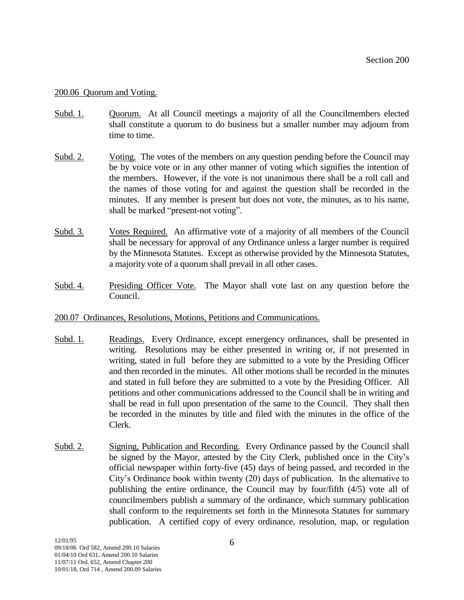### 200.06 Quorum and Voting.

- Subd. 1. Quorum. At all Council meetings a majority of all the Councilmembers elected shall constitute a quorum to do business but a smaller number may adjourn from time to time.
- Subd. 2. Voting. The votes of the members on any question pending before the Council may be by voice vote or in any other manner of voting which signifies the intention of the members. However, if the vote is not unanimous there shall be a roll call and the names of those voting for and against the question shall be recorded in the minutes. If any member is present but does not vote, the minutes, as to his name, shall be marked "present-not voting".
- Subd. 3. Votes Required. An affirmative vote of a majority of all members of the Council shall be necessary for approval of any Ordinance unless a larger number is required by the Minnesota Statutes. Except as otherwise provided by the Minnesota Statutes, a majority vote of a quorum shall prevail in all other cases.
- Subd. 4. Presiding Officer Vote. The Mayor shall vote last on any question before the Council.

### 200.07 Ordinances, Resolutions, Motions, Petitions and Communications.

- Subd. 1. Readings. Every Ordinance, except emergency ordinances, shall be presented in writing. Resolutions may be either presented in writing or, if not presented in writing, stated in full before they are submitted to a vote by the Presiding Officer and then recorded in the minutes. All other motions shall be recorded in the minutes and stated in full before they are submitted to a vote by the Presiding Officer. All petitions and other communications addressed to the Council shall be in writing and shall be read in full upon presentation of the same to the Council. They shall then be recorded in the minutes by title and filed with the minutes in the office of the Clerk.
- Subd. 2. Signing, Publication and Recording. Every Ordinance passed by the Council shall be signed by the Mayor, attested by the City Clerk, published once in the City's official newspaper within forty-five (45) days of being passed, and recorded in the City's Ordinance book within twenty (20) days of publication. In the alternative to publishing the entire ordinance, the Council may by four/fifth (4/5) vote all of councilmembers publish a summary of the ordinance, which summary publication shall conform to the requirements set forth in the Minnesota Statutes for summary publication. A certified copy of every ordinance, resolution, map, or regulation